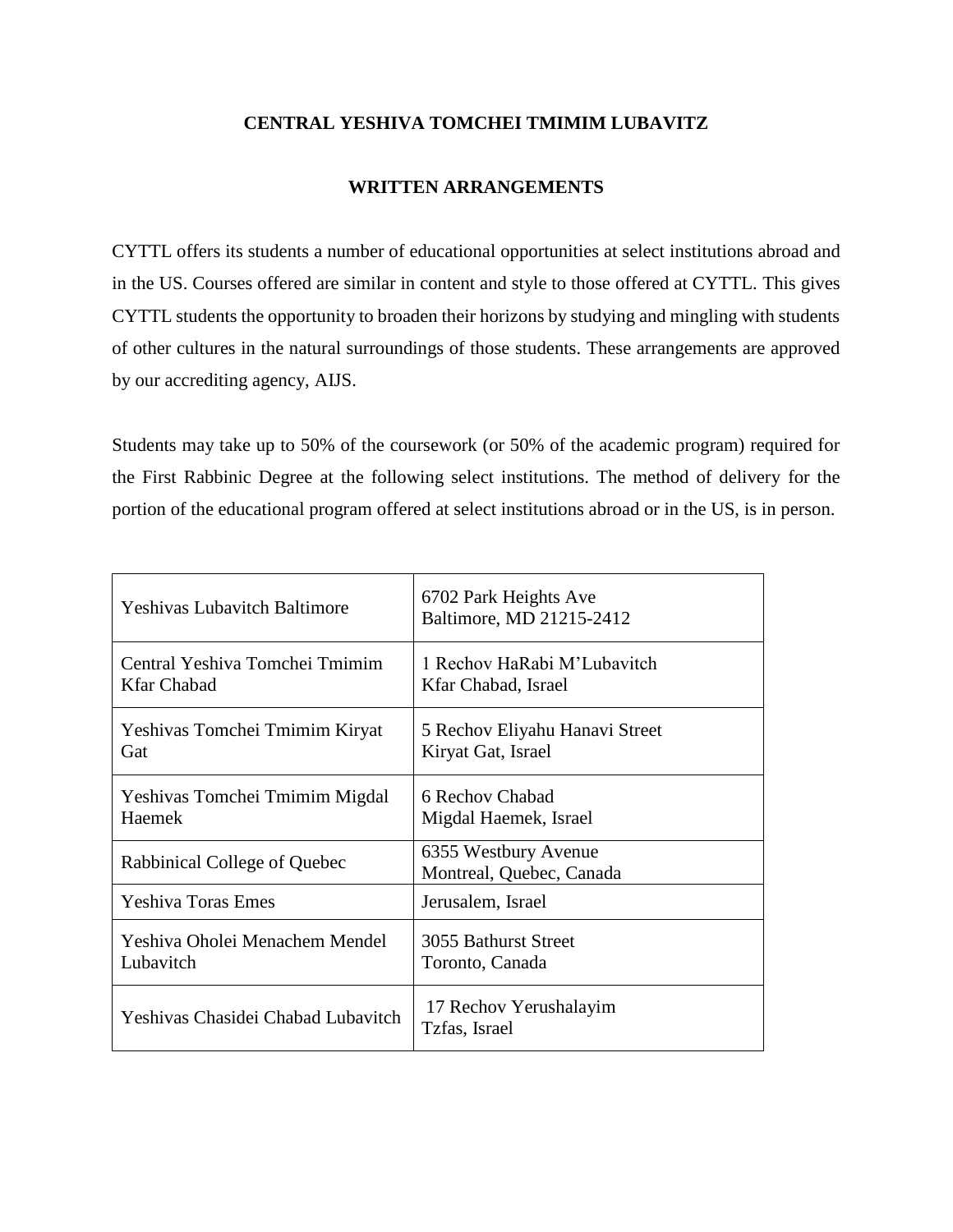## **CENTRAL YESHIVA TOMCHEI TMIMIM LUBAVITZ**

## **WRITTEN ARRANGEMENTS**

CYTTL offers its students a number of educational opportunities at select institutions abroad and in the US. Courses offered are similar in content and style to those offered at CYTTL. This gives CYTTL students the opportunity to broaden their horizons by studying and mingling with students of other cultures in the natural surroundings of those students. These arrangements are approved by our accrediting agency, AIJS.

Students may take up to 50% of the coursework (or 50% of the academic program) required for the First Rabbinic Degree at the following select institutions. The method of delivery for the portion of the educational program offered at select institutions abroad or in the US, is in person.

| <b>Yeshivas Lubavitch Baltimore</b> | 6702 Park Heights Ave<br>Baltimore, MD 21215-2412 |
|-------------------------------------|---------------------------------------------------|
| Central Yeshiva Tomchei Tmimim      | 1 Rechov HaRabi M'Lubavitch                       |
| <b>Kfar Chabad</b>                  | Kfar Chabad, Israel                               |
| Yeshivas Tomchei Tmimim Kiryat      | 5 Rechov Eliyahu Hanavi Street                    |
| Gat                                 | Kiryat Gat, Israel                                |
| Yeshivas Tomchei Tmimim Migdal      | 6 Rechov Chabad                                   |
| <b>Haemek</b>                       | Migdal Haemek, Israel                             |
| Rabbinical College of Quebec        | 6355 Westbury Avenue<br>Montreal, Quebec, Canada  |
| <b>Yeshiva Toras Emes</b>           | Jerusalem, Israel                                 |
| Yeshiva Oholei Menachem Mendel      | 3055 Bathurst Street                              |
| Lubavitch                           | Toronto, Canada                                   |
| Yeshivas Chasidei Chabad Lubavitch  | 17 Rechov Yerushalayim<br>Tzfas, Israel           |